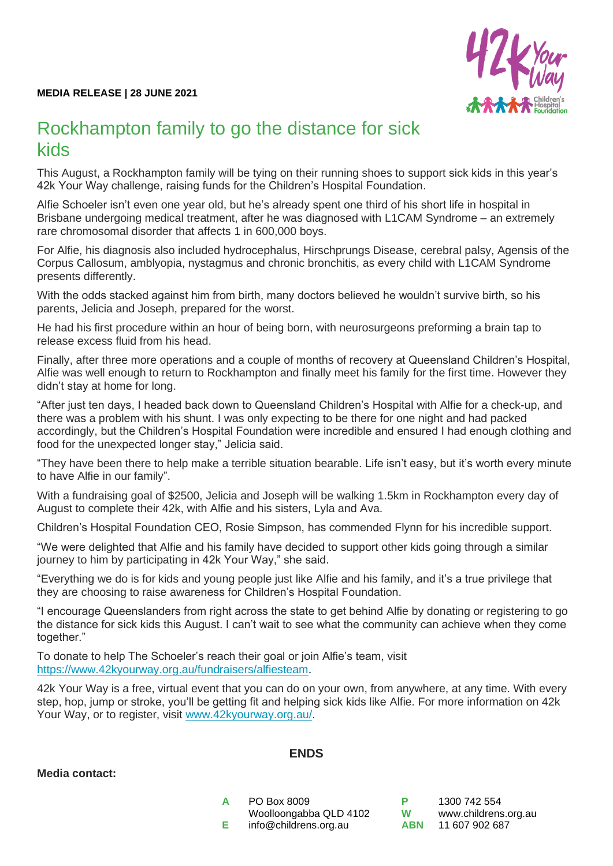

## Rockhampton family to go the distance for sick kids

This August, a Rockhampton family will be tying on their running shoes to support sick kids in this year's 42k Your Way challenge, raising funds for the Children's Hospital Foundation.

Alfie Schoeler isn't even one year old, but he's already spent one third of his short life in hospital in Brisbane undergoing medical treatment, after he was diagnosed with L1CAM Syndrome – an extremely rare chromosomal disorder that affects 1 in 600,000 boys.

For Alfie, his diagnosis also included hydrocephalus, Hirschprungs Disease, cerebral palsy, Agensis of the Corpus Callosum, amblyopia, nystagmus and chronic bronchitis, as every child with L1CAM Syndrome presents differently.

With the odds stacked against him from birth, many doctors believed he wouldn't survive birth, so his parents, Jelicia and Joseph, prepared for the worst.

He had his first procedure within an hour of being born, with neurosurgeons preforming a brain tap to release excess fluid from his head.

Finally, after three more operations and a couple of months of recovery at Queensland Children's Hospital, Alfie was well enough to return to Rockhampton and finally meet his family for the first time. However they didn't stay at home for long.

"After just ten days, I headed back down to Queensland Children's Hospital with Alfie for a check-up, and there was a problem with his shunt. I was only expecting to be there for one night and had packed accordingly, but the Children's Hospital Foundation were incredible and ensured I had enough clothing and food for the unexpected longer stay," Jelicia said.

"They have been there to help make a terrible situation bearable. Life isn't easy, but it's worth every minute to have Alfie in our family".

With a fundraising goal of \$2500, Jelicia and Joseph will be walking 1.5km in Rockhampton every day of August to complete their 42k, with Alfie and his sisters, Lyla and Ava.

Children's Hospital Foundation CEO, Rosie Simpson, has commended Flynn for his incredible support.

"We were delighted that Alfie and his family have decided to support other kids going through a similar journey to him by participating in 42k Your Way," she said.

"Everything we do is for kids and young people just like Alfie and his family, and it's a true privilege that they are choosing to raise awareness for Children's Hospital Foundation.

"I encourage Queenslanders from right across the state to get behind Alfie by donating or registering to go the distance for sick kids this August. I can't wait to see what the community can achieve when they come together."

To donate to help The Schoeler's reach their goal or join Alfie's team, visit [https://www.42kyourway.org.au/fundraisers/alfiesteam.](https://www.42kyourway.org.au/fundraisers/alfiesteam)

42k Your Way is a free, virtual event that you can do on your own, from anywhere, at any time. With every step, hop, jump or stroke, you'll be getting fit and helping sick kids like Alfie. For more information on 42k Your Way, or to register, visit [www.42kyourway.org.au/.](http://www.42kyourway.org.au/)

## **Media contact:**

## **ENDS**

**A** PO Box 8009 Woolloongabba QLD 4102 **E** info@childrens.org.au

**P** 1300 742 554 **W** [www.childrens.org.au](http://www.childrens.org.au/) **ABN** 11 607 902 687